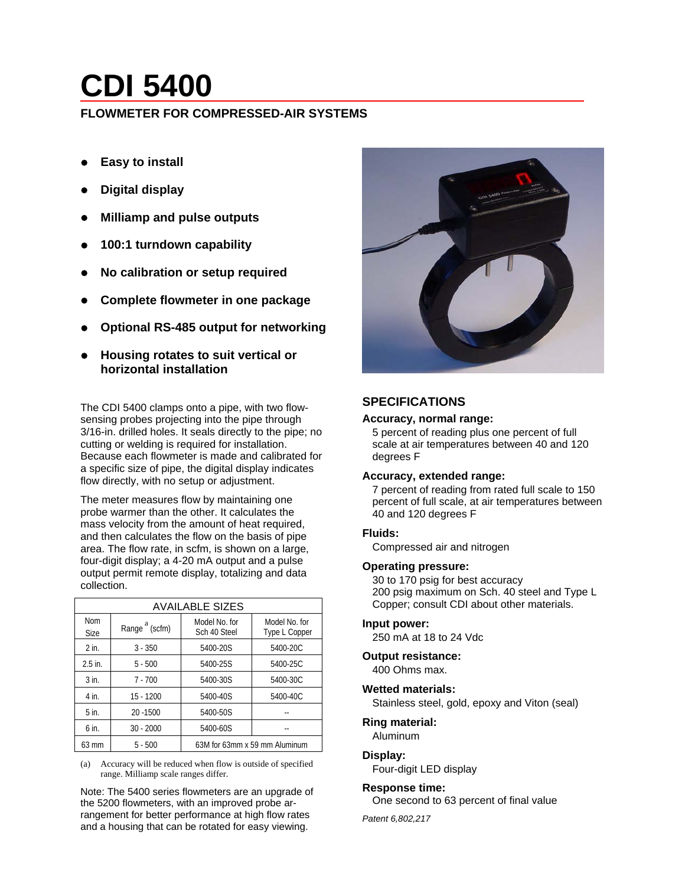# **CDI 5400**

# **FLOWMETER FOR COMPRESSED-AIR SYSTEMS**

- **Easy to install**
- z **Digital display**
- z **Milliamp and pulse outputs**
- z **100:1 turndown capability**
- z **No calibration or setup required**
- z **Complete flowmeter in one package**
- z **Optional RS-485 output for networking**
- z **Housing rotates to suit vertical or horizontal installation**

The CDI 5400 clamps onto a pipe, with two flowsensing probes projecting into the pipe through 3/16-in. drilled holes. It seals directly to the pipe; no cutting or welding is required for installation. Because each flowmeter is made and calibrated for a specific size of pipe, the digital display indicates flow directly, with no setup or adjustment.

The meter measures flow by maintaining one probe warmer than the other. It calculates the mass velocity from the amount of heat required, and then calculates the flow on the basis of pipe area. The flow rate, in scfm, is shown on a large, four-digit display; a 4-20 mA output and a pulse output permit remote display, totalizing and data collection.

| <b>AVAILABLE SIZES</b>    |                           |                               |                                |
|---------------------------|---------------------------|-------------------------------|--------------------------------|
| <b>Nom</b><br><b>Size</b> | Range <sup>a</sup> (scfm) | Model No. for<br>Sch 40 Steel | Model No. for<br>Type L Copper |
| $2$ in.                   | $3 - 350$                 | 5400-20S                      | 5400-20C                       |
| $2.5$ in.                 | $5 - 500$                 | 5400-25S                      | 5400-25C                       |
| $3$ in.                   | $7 - 700$                 | 5400-30S                      | 5400-30C                       |
| 4 in.                     | $15 - 1200$               | 5400-40S                      | 5400-40C                       |
| 5 in.                     | 20 - 1500                 | 5400-50S                      |                                |
| 6 in.                     | $30 - 2000$               | 5400-60S                      |                                |
| 63 mm                     | $5 - 500$                 | 63M for 63mm x 59 mm Aluminum |                                |

(a) Accuracy will be reduced when flow is outside of specified range. Milliamp scale ranges differ.

Note: The 5400 series flowmeters are an upgrade of the 5200 flowmeters, with an improved probe arrangement for better performance at high flow rates and a housing that can be rotated for easy viewing.



# **SPECIFICATIONS**

#### **Accuracy, normal range:**

5 percent of reading plus one percent of full scale at air temperatures between 40 and 120 degrees F

#### **Accuracy, extended range:**

7 percent of reading from rated full scale to 150 percent of full scale, at air temperatures between 40 and 120 degrees F

#### **Fluids:**

Compressed air and nitrogen

#### **Operating pressure:**

30 to 170 psig for best accuracy 200 psig maximum on Sch. 40 steel and Type L Copper; consult CDI about other materials.

#### **Input power:**

250 mA at 18 to 24 Vdc

#### **Output resistance:**

400 Ohms max.

#### **Wetted materials:**

Stainless steel, gold, epoxy and Viton (seal)

#### **Ring material:**

Aluminum

#### **Display:**

Four-digit LED display

#### **Response time:**

One second to 63 percent of final value

*Patent 6,802,217*